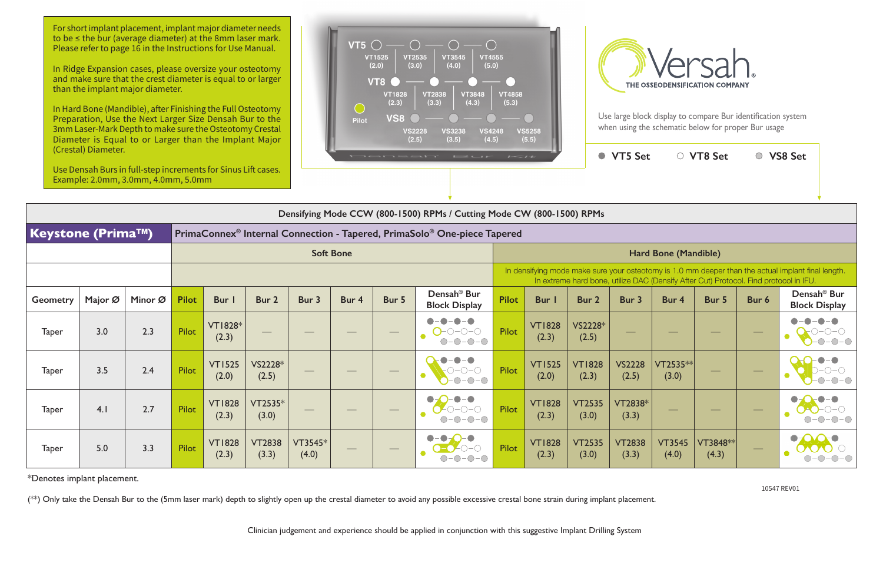| (Crestal) Diameter.<br>Use Densah Burs in full-step increments for Sinus Lift cases.<br>Example: 2.0mm, 3.0mm, 4.0mm, 5.0mm |                                                                       |         |                  |                         |                        | Densah<br>$1 - 11$<br>$F \rightarrow U \rightarrow F$ |                                                                                                                                                                                             |                   |                                                 |                             |                        | ● VT5 Set              |                        | ○ VT8 Set                |                          | ○ VS8 Set |                                                 |
|-----------------------------------------------------------------------------------------------------------------------------|-----------------------------------------------------------------------|---------|------------------|-------------------------|------------------------|-------------------------------------------------------|---------------------------------------------------------------------------------------------------------------------------------------------------------------------------------------------|-------------------|-------------------------------------------------|-----------------------------|------------------------|------------------------|------------------------|--------------------------|--------------------------|-----------|-------------------------------------------------|
|                                                                                                                             | Densifying Mode CCW (800-1500) RPMs / Cutting Mode CW (800-1500) RPMs |         |                  |                         |                        |                                                       |                                                                                                                                                                                             |                   |                                                 |                             |                        |                        |                        |                          |                          |           |                                                 |
| <b>Keystone (Prima™)</b><br>PrimaConnex <sup>®</sup> Internal Connection - Tapered, PrimaSolo® One-piece Tapered            |                                                                       |         |                  |                         |                        |                                                       |                                                                                                                                                                                             |                   |                                                 |                             |                        |                        |                        |                          |                          |           |                                                 |
|                                                                                                                             |                                                                       |         | <b>Soft Bone</b> |                         |                        |                                                       |                                                                                                                                                                                             |                   |                                                 | <b>Hard Bone (Mandible)</b> |                        |                        |                        |                          |                          |           |                                                 |
|                                                                                                                             |                                                                       |         |                  |                         |                        |                                                       | In densifying mode make sure your osteotomy is 1.0 mm deeper than the actual implant final length.<br>In extreme hard bone, utilize DAC (Densify After Cut) Protocol. Find protocol in IFU. |                   |                                                 |                             |                        |                        |                        |                          |                          |           |                                                 |
| <b>Geometry</b>                                                                                                             | Major Ø                                                               | Minor Ø | <b>Pilot</b>     | <b>Bur</b> I            | Bur 2                  | Bur 3                                                 | Bur 4                                                                                                                                                                                       | Bur 5             | Densah <sup>®</sup> Bur<br><b>Block Display</b> | <b>Pilot</b>                | <b>Bur</b> I           | Bur 2                  | Bur 3                  | Bur 4                    | Bur 5                    | Bur 6     | Densah <sup>®</sup> Bur<br><b>Block Display</b> |
| <b>Taper</b>                                                                                                                | 3.0                                                                   | 2.3     | Pilot            | <b>VT1828*</b><br>(2.3) |                        |                                                       |                                                                                                                                                                                             |                   | $\bullet - \bullet$<br>$O$ -0-0-0<br>$O-O-O-O-$ | Pilot                       | <b>VT1828</b><br>(2.3) | VS2228*<br>(2.5)       |                        |                          |                          |           |                                                 |
| <b>Taper</b>                                                                                                                | 3.5                                                                   | 2.4     | Pilot            | <b>VT1525</b><br>(2.0)  | VS2228*<br>(2.5)       |                                                       |                                                                                                                                                                                             |                   | $-0-0$                                          | Pilot                       | <b>VT1525</b><br>(2.0) | <b>VT1828</b><br>(2.3) | <b>VS2228</b><br>(2.5) | $VT2535**$<br>(3.0)      |                          |           |                                                 |
| <b>Taper</b>                                                                                                                | 4.1                                                                   | 2.7     | Pilot            | <b>VT1828</b><br>(2.3)  | VT2535*<br>(3.0)       |                                                       |                                                                                                                                                                                             | $\hspace{0.05cm}$ | $70 - 0 - 0$<br>$O-O-O$                         | Pilot                       | <b>VT1828</b><br>(2.3) | <b>VT2535</b><br>(3.0) | VT2838*<br>(3.3)       | $\overline{\phantom{a}}$ | $\overline{\phantom{m}}$ |           |                                                 |
| <b>Taper</b>                                                                                                                | 5.0                                                                   | 3.3     | Pilot            | <b>VT1828</b><br>(2.3)  | <b>VT2838</b><br>(3.3) | VT3545*<br>(4.0)                                      |                                                                                                                                                                                             |                   | $- \bigcirc - \bigcirc$                         | Pilot                       | <b>VT1828</b><br>(2.3) | <b>VT2535</b><br>(3.0) | <b>VT2838</b><br>(3.3) | <b>VT3545</b><br>(4.0)   | VT3848 **<br>(4.3)       |           |                                                 |

\*Denotes implant placement.

(\*\*) Only take the Densah Bur to the (5mm laser mark) depth to slightly open up the crestal diameter to avoid any possible excessive crestal bone strain during implant placement.

Clinician judgement and experience should be applied in conjunction with this suggestive Implant Drilling System

For short implant placement, implant major diameter needs to be ≤ the bur (average diameter) at the 8mm laser mark. Please refer to page 16 in the Instructions for Use Manual.

In Ridge Expansion cases, please oversize your osteotomy and make sure that the crest diameter is equal to or larger than the implant major diameter.

In Hard Bone (Mandible), after Finishing the Full Osteotomy Preparation, Use the Next Larger Size Densah Bur to the 3mm Laser-Mark Depth to make sure the Osteotomy Crestal Diameter is Equal to or Larger than the Implant Major





Use large block display to compare Bur identification system when using the schematic below for proper Bur usage

10547 REV01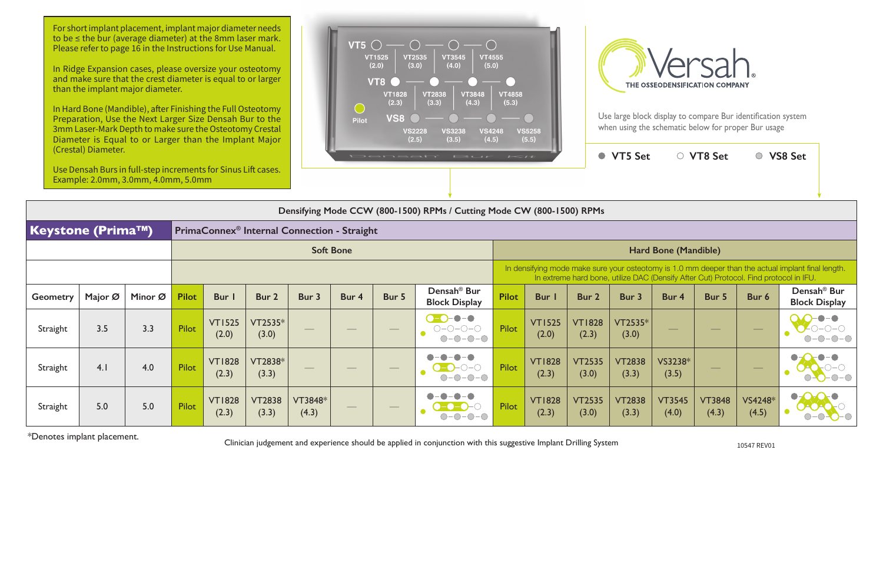Use large block display to compare Bur identification system when using the schematic below for proper Bur usage

In Hard Bone (Mandible), after Finishing the Full Osteotomy Preparation, Use the Next Larger Size Densah Bur to the 3mm Laser-Mark Depth to make sure the Osteotomy Crestal Diameter is Equal to or Larger than the Implant Major

| (Crestal) Diameter.                                                                 |                                                                                                      |         |              |                        | $\sim$<br>Densah<br>$E \rightarrow U + F$ |                  |       |                                             |                                                 | $\bullet$    | <b>VT5 Set</b>                                                                                                                                                                              |                        | ○ VT8 Set              |                          | ○ VS8 Set              |                                 |                                                 |  |
|-------------------------------------------------------------------------------------|------------------------------------------------------------------------------------------------------|---------|--------------|------------------------|-------------------------------------------|------------------|-------|---------------------------------------------|-------------------------------------------------|--------------|---------------------------------------------------------------------------------------------------------------------------------------------------------------------------------------------|------------------------|------------------------|--------------------------|------------------------|---------------------------------|-------------------------------------------------|--|
|                                                                                     | Use Densah Burs in full-step increments for Sinus Lift cases.<br>Example: 2.0mm, 3.0mm, 4.0mm, 5.0mm |         |              |                        |                                           |                  |       |                                             |                                                 |              |                                                                                                                                                                                             |                        |                        |                          |                        |                                 |                                                 |  |
|                                                                                     | Densifying Mode CCW (800-1500) RPMs / Cutting Mode CW (800-1500) RPMs                                |         |              |                        |                                           |                  |       |                                             |                                                 |              |                                                                                                                                                                                             |                        |                        |                          |                        |                                 |                                                 |  |
| <b>Keystone (Prima™)</b><br>PrimaConnex <sup>®</sup> Internal Connection - Straight |                                                                                                      |         |              |                        |                                           |                  |       |                                             |                                                 |              |                                                                                                                                                                                             |                        |                        |                          |                        |                                 |                                                 |  |
|                                                                                     |                                                                                                      |         |              | <b>Soft Bone</b>       |                                           |                  |       |                                             |                                                 |              | Hard Bone (Mandible)                                                                                                                                                                        |                        |                        |                          |                        |                                 |                                                 |  |
|                                                                                     |                                                                                                      |         |              |                        |                                           |                  |       |                                             |                                                 |              | In densifying mode make sure your osteotomy is 1.0 mm deeper than the actual implant final length.<br>In extreme hard bone, utilize DAC (Densify After Cut) Protocol. Find protocol in IFU. |                        |                        |                          |                        |                                 |                                                 |  |
| Geometry                                                                            | Major Ø                                                                                              | Minor Ø | <b>Pilot</b> | Bur I                  | Bur 2                                     | Bur 3            | Bur 4 | Bur 5                                       | Densah <sup>®</sup> Bur<br><b>Block Display</b> | <b>Pilot</b> | Bur                                                                                                                                                                                         | Bur 2                  | Bur 3                  | Bur 4                    | Bur 5                  | Bur 6                           | Densah <sup>®</sup> Bur<br><b>Block Display</b> |  |
| Straight                                                                            | 3.5                                                                                                  | 3.3     | <b>Pilot</b> | <b>VT1525</b><br>(2.0) | VT2535*<br>(3.0)                          |                  |       | $\hspace{1.0cm} \overbrace{\hspace{1.0cm}}$ | $\bullet - \bullet$<br>$O-O-O-O$<br>$O-O-O-O$   | Pilot        | <b>VT1525</b><br>(2.0)                                                                                                                                                                      | <b>VT1828</b><br>(2.3) | VT2535*<br>(3.0)       | $\overline{\phantom{m}}$ |                        | $\overbrace{\qquad \qquad }^{}$ |                                                 |  |
| Straight                                                                            | 4.1                                                                                                  | 4.0     | Pilot        | <b>VT1828</b><br>(2.3) | VT2838*<br>(3.3)                          |                  |       |                                             | $ \bigcirc$ $ \bigcirc$<br>∩-                   | Pilot        | <b>VT1828</b><br>(2.3)                                                                                                                                                                      | <b>VT2535</b><br>(3.0) | <b>VT2838</b><br>(3.3) | VS3238*<br>(3.5)         |                        |                                 |                                                 |  |
| Straight                                                                            | 5.0                                                                                                  | 5.0     | <b>Pilot</b> | <b>VT1828</b><br>(2.3) | <b>VT2838</b><br>(3.3)                    | VT3848*<br>(4.3) |       |                                             |                                                 | Pilot        | <b>VT1828</b><br>(2.3)                                                                                                                                                                      | <b>VT2535</b><br>(3.0) | <b>VT2838</b><br>(3.3) | <b>VT3545</b><br>(4.0)   | <b>VT3848</b><br>(4.3) | VS4248*<br>(4.5)                |                                                 |  |

\*Denotes implant placement. Clinician judgement and experience should be applied in conjunction with this suggestive Implant Drilling System 10547 REV01

For short implant placement, implant major diameter needs to be ≤ the bur (average diameter) at the 8mm laser mark. Please refer to page 16 in the Instructions for Use Manual.

In Ridge Expansion cases, please oversize your osteotomy and make sure that the crest diameter is equal to or larger than the implant major diameter.



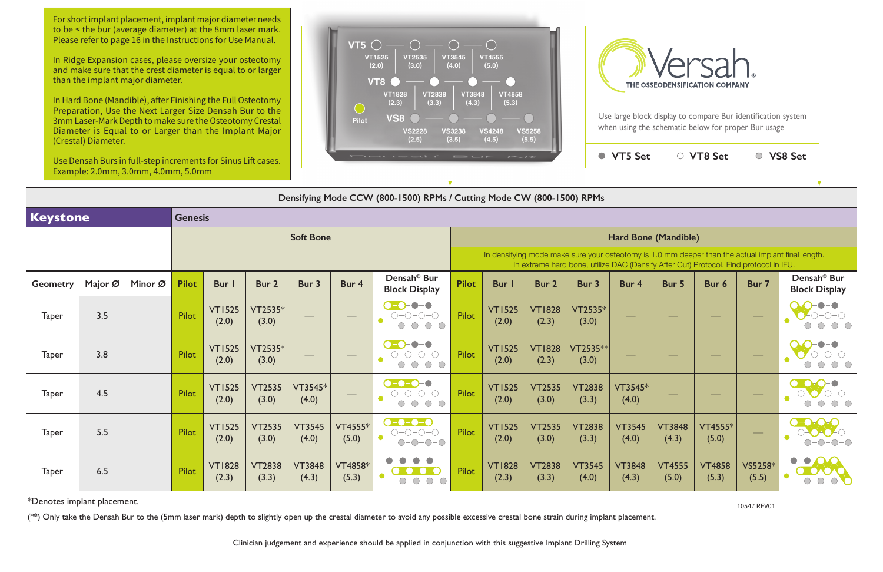Use large block display to compare Bur identification system when using the schematic below for proper Bur usage

## **Keystone Genesis Soft Bone Hard Bone (Mandible)** In densifying mode make sure your osteotomy is In extreme hard bone, utilize DAC (Density After Cut) Protocol. Final protocol. Final protocol. Final protocol. Final protocol. Final protocol. Final protocol. Final protocol. Final protocol. Final protocol. Final protocol **Geometry Major Ø Minor Ø Pilot Bur 1 Bur 2 Bur 3 Bur 4 Densah® Bur Block Display Pilot Bur 1 Bur 2 Bur 3 Bur 4 Bur 5 Bur 6 Bur 7 Densah® Bur**   $\begin{array}{|c|c|c|c|c|}\n\hline\n\text{Taper} & 3.5 & \text{Pilot} & \text{VTI525}\n\hline\n\end{array}$ (2.0) VT2535\*  $\begin{array}{|c|c|c|c|c|}\hline \text{C2535*} & \text{\hspace{1cm}} & \text{\hspace{1cm}} & \text{\hspace{1cm}} & \text{\hspace{1cm}} & \text{\hspace{1cm}} & \text{\hspace{1cm}} & \text{\hspace{1cm}} & \text{\hspace{1cm}} & \text{\hspace{1cm}} & \text{\hspace{1cm}} & \text{\hspace{1cm}} & \text{\hspace{1cm}} & \text{\hspace{1cm}} & \text{\hspace{1cm}} & \text{\hspace{1cm}} & \text{\hspace{1cm}} & \text{\hspace{1cm}} & \text{\hspace{1cm}} & \text{\hspace{1cm}} &$ (2.0) VT1828 (2.3) VT2535\*  $\begin{array}{|c|c|c|c|c|}\n\hline\n\text{Taper} & 3.8 & \text{Pilot} & \text{VTI 525}\n\hline\n\end{array}$ (2.0) VT2535\*  $\begin{array}{|c|c|c|c|c|}\hline \text{C2535*} & \text{\hspace{1cm}} & \text{\hspace{1cm}} & \text{\hspace{1cm}} & \text{\hspace{1cm}} & \text{\hspace{1cm}} & \text{\hspace{1cm}} & \text{\hspace{1cm}} & \text{\hspace{1cm}} & \text{\hspace{1cm}} & \text{\hspace{1cm}} & \text{\hspace{1cm}} & \text{\hspace{1cm}} & \text{\hspace{1cm}} & \text{\hspace{1cm}} & \text{\hspace{1cm}} & \text{\hspace{1cm}} & \text{\hspace{1cm}} & \text{\hspace{1cm}} & \text{\hspace{1cm}} &$ (2.0) VT1828 (2.3) VT2535\*\*  $\begin{array}{|c|c|c|c|c|}\n\hline\n\text{Taper} & 4.5 & \text{N1525} \\
\hline\n\end{array}$ (2.0) VT2535 (3.0) VT3545\* (4.0) — Pilot VT1525 (2.0) VT2535 (3.0) VT2838 (3.3) VT3545\*  $\begin{array}{|c|c|c|c|c|}\n\hline\n\text{Taper} & 5.5 & \text{Pilot} & \text{VTI525} \\
\hline\n\end{array}$ (2.0) VT2535 (3.0) VT3545 (4.0) VT4555\*  $T4555*$   $\begin{array}{|c|c|c|c|c|}\n\hline\n(-6)-(-6)-(-6) & \text{Pilot} & \text{VTI}525 \\
(5.0) & 0 & -0-0-0 & (2.0)\n\hline\n\end{array}$ (2.0) VT2535 (3.0) VT2838 (3.3) VT3545  $(4.0)$  $\begin{array}{|c|c|c|c|c|}\n\hline\n\text{Taper} & 6.5 & \text{Pilot} & \text{VTI828} \\
\hline\n\end{array}$ (2.3) VT2838 (3.3) VT3848 (4.3) VT4858\*  $T4858*$   $\begin{array}{|c|c|c|c|c|c|}\hline \textbf{0} & \textbf{0} & \textbf{0} & \textbf{0} & \textbf{0} & \textbf{0} & \textbf{0} & \textbf{0} & \textbf{0} & \textbf{0} & \textbf{0} & \textbf{0} & \textbf{0} & \textbf{0} & \textbf{0} & \textbf{0} & \textbf{0} & \textbf{0} & \textbf{0} & \textbf{0} & \textbf{0} & \textbf{0} & \textbf{0} & \textbf{0} & \textbf{0} & \textbf{0} & \textbf{0} & \$ (2.3) VT2838 (3.3) VT3545 (4.0) VT3848  $(4.3)$

**Densifying Mode CCW (800-1500) RPMs / Cutting Mode CW (800-1500) RPMs**

|                                                                                                                                                 | <b>VT5 Set</b>         |                        | ○ VT8 Set               |                  | ○ VS8 Set                                       |  |  |  |  |  |  |  |
|-------------------------------------------------------------------------------------------------------------------------------------------------|------------------------|------------------------|-------------------------|------------------|-------------------------------------------------|--|--|--|--|--|--|--|
| <b>RPMs</b>                                                                                                                                     |                        |                        |                         |                  |                                                 |  |  |  |  |  |  |  |
|                                                                                                                                                 |                        |                        |                         |                  |                                                 |  |  |  |  |  |  |  |
| <b>Hard Bone (Mandible)</b>                                                                                                                     |                        |                        |                         |                  |                                                 |  |  |  |  |  |  |  |
| re your osteotomy is 1.0 mm deeper than the actual implant final length.<br>ne, utilize DAC (Densify After Cut) Protocol. Find protocol in IFU. |                        |                        |                         |                  |                                                 |  |  |  |  |  |  |  |
| 3 <sub>ur</sub>                                                                                                                                 | Bur 4                  | Bur 5                  | Bur <sub>6</sub>        | Bur 7            | Densah <sup>®</sup> Bur<br><b>Block Display</b> |  |  |  |  |  |  |  |
| $T2535*$<br>(3.0)                                                                                                                               |                        |                        |                         |                  |                                                 |  |  |  |  |  |  |  |
| $72535**$<br>(3.0)                                                                                                                              |                        |                        |                         |                  |                                                 |  |  |  |  |  |  |  |
| T2838<br>(3.3)                                                                                                                                  | VT3545*<br>(4.0)       |                        |                         |                  |                                                 |  |  |  |  |  |  |  |
| T2838<br>(3.3)                                                                                                                                  | <b>VT3545</b><br>(4.0) | <b>VT3848</b><br>(4.3) | <b>VT4555*</b><br>(5.0) |                  |                                                 |  |  |  |  |  |  |  |
| T3545<br>(4.0)                                                                                                                                  | <b>VT3848</b><br>(4.3) | <b>VT4555</b><br>(5.0) | <b>VT4858</b><br>(5.3)  | VS5258*<br>(5.5) |                                                 |  |  |  |  |  |  |  |

\*Denotes implant placement. 10547 REV01

(\*\*) Only take the Densah Bur to the (5mm laser mark) depth to slightly open up the crestal diameter to avoid any possible excessive crestal bone strain during implant placement.

For short implant placement, implant major diameter needs to be ≤ the bur (average diameter) at the 8mm laser mark. Please refer to page 16 in the Instructions for Use Manual.

In Ridge Expansion cases, please oversize your osteotomy and make sure that the crest diameter is equal to or larger than the implant major diameter.

In Hard Bone (Mandible), after Finishing the Full Osteotomy Preparation, Use the Next Larger Size Densah Bur to the 3mm Laser-Mark Depth to make sure the Osteotomy Crestal Diameter is Equal to or Larger than the Implant Major (Crestal) Diameter.

Use Densah Burs in full-step increments for Sinus Lift cases. Example: 2.0mm, 3.0mm, 4.0mm, 5.0mm